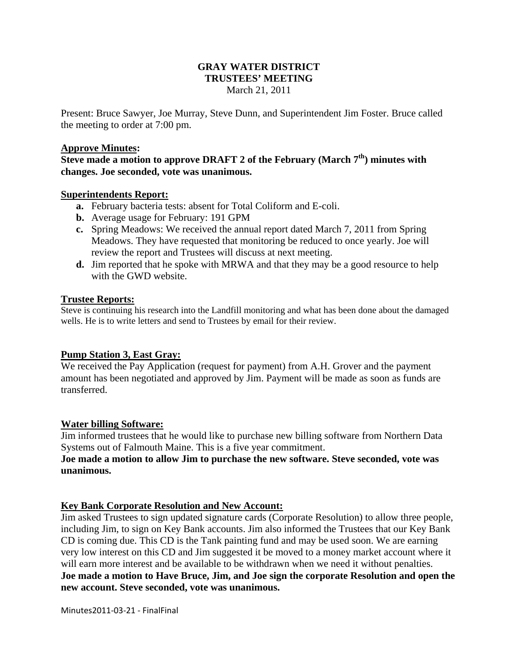### **GRAY WATER DISTRICT TRUSTEES' MEETING**  March 21, 2011

Present: Bruce Sawyer, Joe Murray, Steve Dunn, and Superintendent Jim Foster. Bruce called the meeting to order at 7:00 pm.

#### **Approve Minutes:**

**Steve made a motion to approve DRAFT 2 of the February (March 7th) minutes with changes. Joe seconded, vote was unanimous.** 

#### **Superintendents Report:**

- **a.** February bacteria tests: absent for Total Coliform and E-coli.
- **b.** Average usage for February: 191 GPM
- **c.** Spring Meadows: We received the annual report dated March 7, 2011 from Spring Meadows. They have requested that monitoring be reduced to once yearly. Joe will review the report and Trustees will discuss at next meeting.
- **d.** Jim reported that he spoke with MRWA and that they may be a good resource to help with the GWD website.

### **Trustee Reports:**

Steve is continuing his research into the Landfill monitoring and what has been done about the damaged wells. He is to write letters and send to Trustees by email for their review.

### **Pump Station 3, East Gray:**

We received the Pay Application (request for payment) from A.H. Grover and the payment amount has been negotiated and approved by Jim. Payment will be made as soon as funds are transferred.

### **Water billing Software:**

Jim informed trustees that he would like to purchase new billing software from Northern Data Systems out of Falmouth Maine. This is a five year commitment.

### **Joe made a motion to allow Jim to purchase the new software. Steve seconded, vote was unanimous.**

### **Key Bank Corporate Resolution and New Account:**

Jim asked Trustees to sign updated signature cards (Corporate Resolution) to allow three people, including Jim, to sign on Key Bank accounts. Jim also informed the Trustees that our Key Bank CD is coming due. This CD is the Tank painting fund and may be used soon. We are earning very low interest on this CD and Jim suggested it be moved to a money market account where it will earn more interest and be available to be withdrawn when we need it without penalties. **Joe made a motion to Have Bruce, Jim, and Joe sign the corporate Resolution and open the new account. Steve seconded, vote was unanimous.**